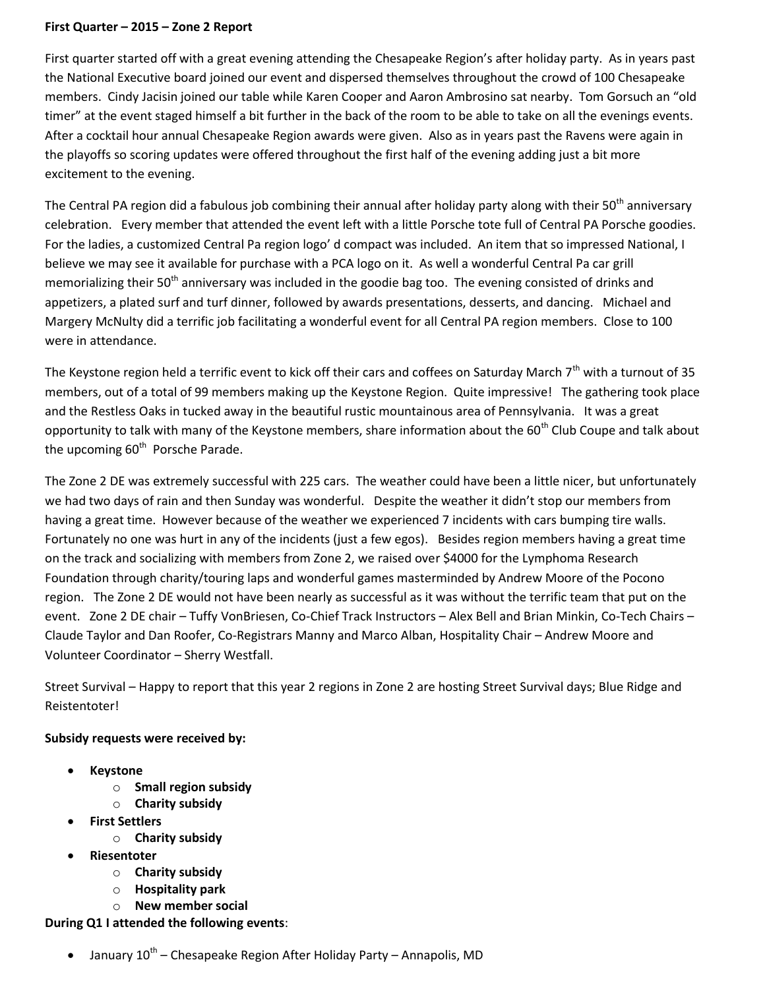## **First Quarter – 2015 – Zone 2 Report**

First quarter started off with a great evening attending the Chesapeake Region's after holiday party. As in years past the National Executive board joined our event and dispersed themselves throughout the crowd of 100 Chesapeake members. Cindy Jacisin joined our table while Karen Cooper and Aaron Ambrosino sat nearby. Tom Gorsuch an "old timer" at the event staged himself a bit further in the back of the room to be able to take on all the evenings events. After a cocktail hour annual Chesapeake Region awards were given. Also as in years past the Ravens were again in the playoffs so scoring updates were offered throughout the first half of the evening adding just a bit more excitement to the evening.

The Central PA region did a fabulous job combining their annual after holiday party along with their 50<sup>th</sup> anniversary celebration. Every member that attended the event left with a little Porsche tote full of Central PA Porsche goodies. For the ladies, a customized Central Pa region logo' d compact was included. An item that so impressed National, I believe we may see it available for purchase with a PCA logo on it. As well a wonderful Central Pa car grill memorializing their 50<sup>th</sup> anniversary was included in the goodie bag too. The evening consisted of drinks and appetizers, a plated surf and turf dinner, followed by awards presentations, desserts, and dancing. Michael and Margery McNulty did a terrific job facilitating a wonderful event for all Central PA region members. Close to 100 were in attendance.

The Keystone region held a terrific event to kick off their cars and coffees on Saturday March  $7<sup>th</sup>$  with a turnout of 35 members, out of a total of 99 members making up the Keystone Region. Quite impressive! The gathering took place and the Restless Oaks in tucked away in the beautiful rustic mountainous area of Pennsylvania. It was a great opportunity to talk with many of the Keystone members, share information about the 60<sup>th</sup> Club Coupe and talk about the upcoming 60<sup>th</sup> Porsche Parade.

The Zone 2 DE was extremely successful with 225 cars. The weather could have been a little nicer, but unfortunately we had two days of rain and then Sunday was wonderful. Despite the weather it didn't stop our members from having a great time. However because of the weather we experienced 7 incidents with cars bumping tire walls. Fortunately no one was hurt in any of the incidents (just a few egos). Besides region members having a great time on the track and socializing with members from Zone 2, we raised over \$4000 for the Lymphoma Research Foundation through charity/touring laps and wonderful games masterminded by Andrew Moore of the Pocono region. The Zone 2 DE would not have been nearly as successful as it was without the terrific team that put on the event. Zone 2 DE chair – Tuffy VonBriesen, Co-Chief Track Instructors – Alex Bell and Brian Minkin, Co-Tech Chairs – Claude Taylor and Dan Roofer, Co-Registrars Manny and Marco Alban, Hospitality Chair – Andrew Moore and Volunteer Coordinator – Sherry Westfall.

Street Survival – Happy to report that this year 2 regions in Zone 2 are hosting Street Survival days; Blue Ridge and Reistentoter!

## **Subsidy requests were received by:**

- **Keystone** 
	- o **Small region subsidy**
	- o **Charity subsidy**
- **First Settlers**
	- o **Charity subsidy**
- **Riesentoter**
	- o **Charity subsidy**
	- o **Hospitality park**
	- o **New member social**

## **During Q1 I attended the following events**:

 $\bullet$  January 10<sup>th</sup> – Chesapeake Region After Holiday Party – Annapolis, MD